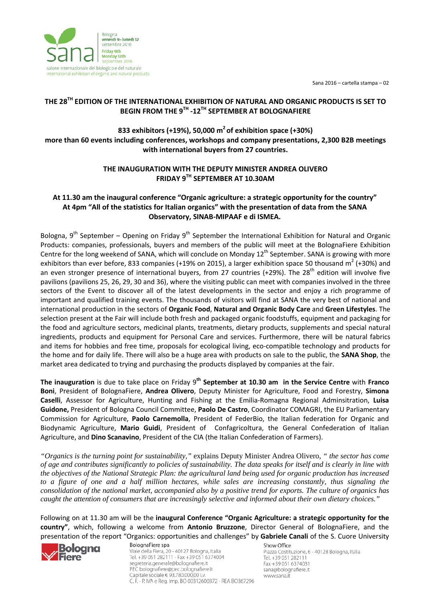Sana 2016 – cartella stampa – 02



# **THE 28TH EDITION OF THE INTERNATIONAL EXHIBITION OF NATURAL AND ORGANIC PRODUCTS IS SET TO BEGIN FROM THE 9TH -12TH SEPTEMBER AT BOLOGNAFIERE**

**833 exhibitors (+19%), 50,000 m2 of exhibition space (+30%) more than 60 events including conferences, workshops and company presentations, 2,300 B2B meetings with international buyers from 27 countries.** 

# **THE INAUGURATION WITH THE DEPUTY MINISTER ANDREA OLIVERO FRIDAY 9TH SEPTEMBER AT 10.30AM**

### **At 11.30 am the inaugural conference "Organic agriculture: a strategic opportunity for the country" At 4pm "All of the statistics for Italian organics" with the presentation of data from the SANA Observatory, SINAB-MIPAAF e di ISMEA.**

Bologna,  $9^{th}$  September – Opening on Friday  $9^{th}$  September the International Exhibition for Natural and Organic Products: companies, professionals, buyers and members of the public will meet at the BolognaFiere Exhibition Centre for the long weekend of SANA, which will conclude on Monday 12<sup>th</sup> September. SANA is growing with more exhibitors than ever before, 833 companies (+19% on 2015), a larger exhibition space 50 thousand  $m^2$  (+30%) and an even stronger presence of international buyers, from 27 countries (+29%). The 28<sup>th</sup> edition will involve five pavilions (pavilions 25, 26, 29, 30 and 36), where the visiting public can meet with companies involved in the three sectors of the Event to discover all of the latest developments in the sector and enjoy a rich programme of important and qualified training events. The thousands of visitors will find at SANA the very best of national and international production in the sectors of **Organic Food**, **Natural and Organic Body Care** and **Green Lifestyles**. The selection present at the Fair will include both fresh and packaged organic foodstuffs, equipment and packaging for the food and agriculture sectors, medicinal plants, treatments, dietary products, supplements and special natural ingredients, products and equipment for Personal Care and services. Furthermore, there will be natural fabrics and items for hobbies and free time, proposals for ecological living, eco-compatible technology and products for the home and for daily life. There will also be a huge area with products on sale to the public, the **SANA Shop**, the market area dedicated to trying and purchasing the products displayed by companies at the fair.

**The inauguration** is due to take place on Friday 9**th September at 10.30 am in the Service Centre** with **Franco Boni**, President of BolognaFiere, **Andrea Olivero**, Deputy Minister for Agriculture, Food and Forestry, **Simona Caselli**, Assessor for Agriculture, Hunting and Fishing at the Emilia-Romagna Regional Adminsitration, **Luisa Guidone,** President of Bologna Council Committee, **Paolo De Castro**, Coordinator COMAGRI, the EU Parliamentary Commission for Agriculture, **Paolo Carnemolla**, President of FederBio, the Italian federation for Organic and Biodynamic Agriculture, **Mario Guidi**, President of Confagricoltura, the General Confederation of Italian Agriculture, and **Dino Scanavino**, President of the CIA (the Italian Confederation of Farmers).

*"Organics is the turning point for sustainability,"* explains Deputy Minister Andrea Olivero, *" the sector has come of age and contributes significantly to policies of sustainability. The data speaks for itself and is clearly in line with the objectives of the National Strategic Plan: the agricultural land being used for organic production has increased to a figure of one and a half million hectares, while sales are increasing constantly, thus signaling the consolidation of the national market, accompanied also by a positive trend for exports. The culture of organics has caught the attention of consumers that are increasingly selective and informed about their own dietary choices."*

Following on at 11.30 am will be the **inaugural Conference "Organic Agriculture: a strategic opportunity for the country"**, which, following a welcome from **Antonio Bruzzone**, Director General of BolognaFiere, and the presentation of the report "Organics: opportunities and challenges" by **Gabriele Canali** of the S. Cuore University



Viale della Fiera, 20 - 40127 Bologna, Italia Tel. +39 051 282111 - Fax +39 051 6374004 segreteria.generale@bolognafiere.it PEC bolognafiere@pec.bolognafiere.it Capitale sociale € 93.780.000,00 i.v. C. F. - P. IVA e Reg. Imp. BO 00312600372 - REA BO367296 Show Office

Piazza Costituzione, 6 - 40128 Bologna, Italia Tel. +39 051 282111 Fax +39 051 6374031 sana@bolognafiere.it www.sana.it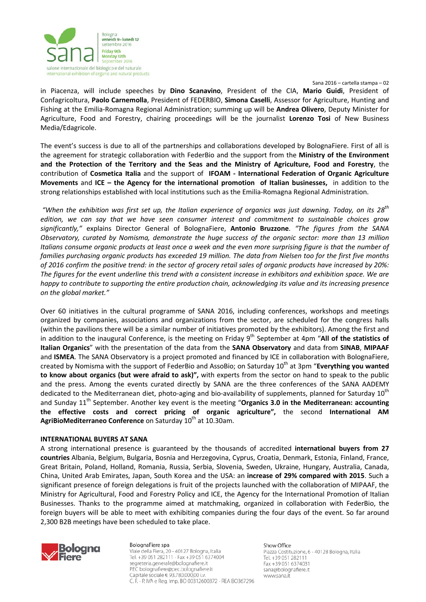

#### Sana 2016 – cartella stampa – 02

in Piacenza, will include speeches by **Dino Scanavino**, President of the CIA, **Mario Guidi**, President of Confagricoltura, **Paolo Carnemolla**, President of FEDERBIO, **Simona Caselli**, Assessor for Agriculture, Hunting and Fishing at the Emilia-Romagna Regional Administration; summing up will be **Andrea Olivero**, Deputy Minister for Agriculture, Food and Forestry, chairing proceedings will be the journalist **Lorenzo Tosi** of New Business Media/Edagricole.

The event's success is due to all of the partnerships and collaborations developed by BolognaFiere. First of all is the agreement for strategic collaboration with FederBio and the support from the **Ministry of the Environment and the Protection of the Territory and the Seas and the Ministry of Agriculture, Food and Forestry**, the contribution of **Cosmetica Italia** and the support of **IFOAM - International Federation of Organic Agriculture Movements** and **ICE – the Agency for the international promotion of Italian businesses,** in addition to the strong relationships established with local institutions such as the Emilia-Romagna Regional Administration.

*"When the exhibition was first set up, the Italian experience of organics was just dawning. Today, on its 28th edition, we can say that we have seen consumer interest and commitment to sustainable choices grow significantly,"* explains Director General of BolognaFiere, **Antonio Bruzzone**. *"The figures from the SANA Observatory, curated by Nomisma, demonstrate the huge success of the organic sector: more than 13 million Italians consume organic products at least once a week and the even more surprising figure is that the number of families purchasing organic products has exceeded 19 million. The data from Nielsen too for the first five months of 2016 confirm the positive trend: in the sector of grocery retail sales of organic products have increased by 20%: The figures for the event underline this trend with a consistent increase in exhibitors and exhibition space. We are happy to contribute to supporting the entire production chain, acknowledging its value and its increasing presence on the global market."*

Over 60 initiatives in the cultural programme of SANA 2016, including conferences, workshops and meetings organized by companies, associations and organizations from the sector, are scheduled for the congress halls (within the pavilions there will be a similar number of initiatives promoted by the exhibitors). Among the first and in addition to the inaugural Conference, is the meeting on Friday 9<sup>th</sup> September at 4pm "All of the statistics of **Italian Organics**" with the presentation of the data from the **SANA Observatory** and data from **SINAB**, **MIPAAF** and **ISMEA**. The SANA Observatory is a project promoted and financed by ICE in collaboration with BolognaFiere, created by Nomisma with the support of FederBio and AssoBio; on Saturday 10<sup>th</sup> at 3pm "**Everything you wanted to know about organics (but were afraid to ask)",** with experts from the sector on hand to speak to the public and the press. Among the events curated directly by SANA are the three conferences of the SANA AADEMY dedicated to the Mediterranean diet, photo-aging and bio-availability of supplements, planned for Saturday 10<sup>th</sup> and Sunday 11<sup>th</sup> September. Another key event is the meeting "Organics 3.0 in the Mediterranean: accounting **the effective costs and correct pricing of organic agriculture",** the second **International AM AgriBioMediterraneo Conference** on Saturday 10<sup>th</sup> at 10.30am.

### **INTERNATIONAL BUYERS AT SANA**

A strong international presence is guaranteed by the thousands of accredited **international buyers from 27 countries** Albania, Belgium, Bulgaria, Bosnia and Herzegovina, Cyprus, Croatia, Denmark, Estonia, Finland, France, Great Britain, Poland, Holland, Romania, Russia, Serbia, Slovenia, Sweden, Ukraine, Hungary, Australia, Canada, China, United Arab Emirates, Japan, South Korea and the USA: an **increase of 29% compared with 2015**. Such a significant presence of foreign delegations is fruit of the projects launched with the collaboration of MIPAAF, the Ministry for Agricultural, Food and Forestry Policy and ICE, the Agency for the International Promotion of Italian Businesses. Thanks to the programme aimed at matchmaking, organized in collaboration with FederBio, the foreign buyers will be able to meet with exhibiting companies during the four days of the event. So far around 2,300 B2B meetings have been scheduled to take place.



BolognaFiere spa Viale della Fiera, 20 - 40127 Bologna, Italia Tel. +39 051 282111 - Fax +39 051 6374004 segreteria.generale@bolognafiere.it PEC bolognafiere@pec.bolognafiere.it Capitale sociale € 93.780.000,00 i.v. C. F. - P. IVA e Reg. Imp. BO 00312600372 - REA BO367296 Show Office

Piazza Costituzione, 6 - 40128 Bologna, Italia Tel. +39 051 282111 Fax +39 051 6374031 sana@bolognafiere.it www.sana.it